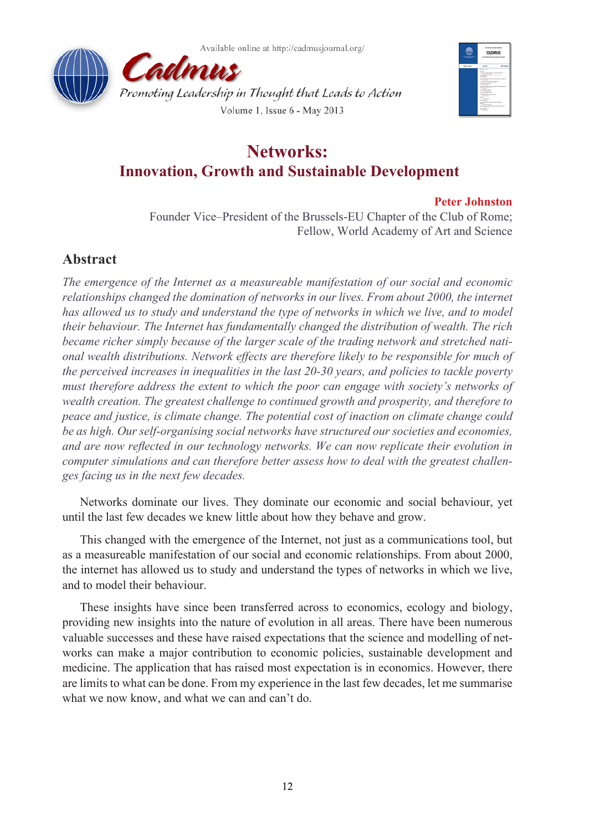





# **Networks: Innovation, Growth and Sustainable Development**

## **Peter Johnston**

Founder Vice–President of the Brussels-EU Chapter of the Club of Rome; Fellow, World Academy of Art and Science

## **Abstract**

*The emergence of the Internet as a measureable manifestation of our social and economic relationships changed the domination of networks in our lives. From about 2000, the internet*  has allowed us to study and understand the type of networks in which we live, and to model *their behaviour. The Internet has fundamentally changed the distribution of wealth. The rich became richer simply because of the larger scale of the trading network and stretched national wealth distributions. Network effects are therefore likely to be responsible for much of the perceived increases in inequalities in the last 20-30 years, and policies to tackle poverty must therefore address the extent to which the poor can engage with society's networks of wealth creation. The greatest challenge to continued growth and prosperity, and therefore to peace and justice, is climate change. The potential cost of inaction on climate change could be as high. Our self-organising social networks have structured our societies and economies, and are now reflected in our technology networks. We can now replicate their evolution in computer simulations and can therefore better assess how to deal with the greatest challenges facing us in the next few decades.*

Networks dominate our lives. They dominate our economic and social behaviour, yet until the last few decades we knew little about how they behave and grow.

This changed with the emergence of the Internet, not just as a communications tool, but as a measureable manifestation of our social and economic relationships. From about 2000, the internet has allowed us to study and understand the types of networks in which we live, and to model their behaviour.

These insights have since been transferred across to economics, ecology and biology, providing new insights into the nature of evolution in all areas. There have been numerous valuable successes and these have raised expectations that the science and modelling of networks can make a major contribution to economic policies, sustainable development and medicine. The application that has raised most expectation is in economics. However, there are limits to what can be done. From my experience in the last few decades, let me summarise what we now know, and what we can and can't do.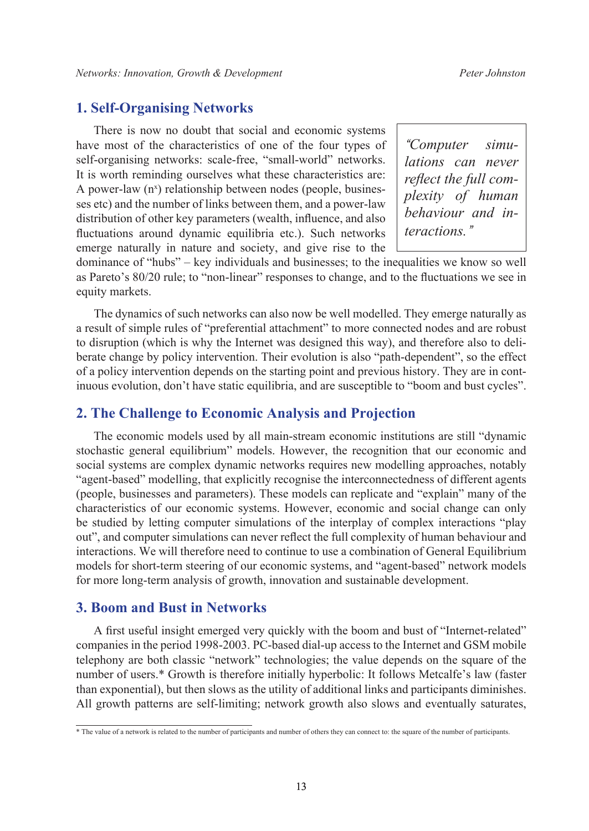## **1. Self-Organising Networks**

There is now no doubt that social and economic systems have most of the characteristics of one of the four types of self-organising networks: scale-free, "small-world" networks. It is worth reminding ourselves what these characteristics are: A power-law (n<sup>x</sup>) relationship between nodes (people, businesses etc) and the number of links between them, and a power-law distribution of other key parameters (wealth, influence, and also fluctuations around dynamic equilibria etc.). Such networks emerge naturally in nature and society, and give rise to the

*"Computer simulations can never reflect the full complexity of human behaviour and interactions."*

dominance of "hubs" – key individuals and businesses; to the inequalities we know so well as Pareto's 80/20 rule; to "non-linear" responses to change, and to the fluctuations we see in equity markets.

The dynamics of such networks can also now be well modelled. They emerge naturally as a result of simple rules of "preferential attachment" to more connected nodes and are robust to disruption (which is why the Internet was designed this way), and therefore also to deliberate change by policy intervention. Their evolution is also "path-dependent", so the effect of a policy intervention depends on the starting point and previous history. They are in continuous evolution, don't have static equilibria, and are susceptible to "boom and bust cycles".

#### **2. The Challenge to Economic Analysis and Projection**

The economic models used by all main-stream economic institutions are still "dynamic stochastic general equilibrium" models. However, the recognition that our economic and social systems are complex dynamic networks requires new modelling approaches, notably "agent-based" modelling, that explicitly recognise the interconnectedness of different agents (people, businesses and parameters). These models can replicate and "explain" many of the characteristics of our economic systems. However, economic and social change can only be studied by letting computer simulations of the interplay of complex interactions "play out", and computer simulations can never reflect the full complexity of human behaviour and interactions. We will therefore need to continue to use a combination of General Equilibrium models for short-term steering of our economic systems, and "agent-based" network models for more long-term analysis of growth, innovation and sustainable development.

## **3. Boom and Bust in Networks**

A first useful insight emerged very quickly with the boom and bust of "Internet-related" companies in the period 1998-2003. PC-based dial-up access to the Internet and GSM mobile telephony are both classic "network" technologies; the value depends on the square of the number of users.\* Growth is therefore initially hyperbolic: It follows Metcalfe's law (faster than exponential), but then slows as the utility of additional links and participants diminishes. All growth patterns are self-limiting; network growth also slows and eventually saturates,

<sup>\*</sup> The value of a network is related to the number of participants and number of others they can connect to: the square of the number of participants.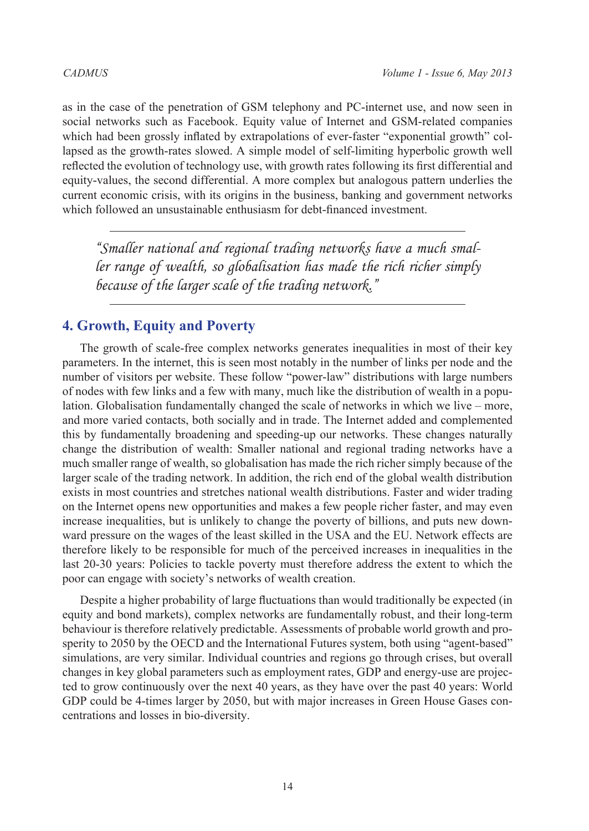as in the case of the penetration of GSM telephony and PC-internet use, and now seen in social networks such as Facebook. Equity value of Internet and GSM-related companies which had been grossly inflated by extrapolations of ever-faster "exponential growth" collapsed as the growth-rates slowed. A simple model of self-limiting hyperbolic growth well reflected the evolution of technology use, with growth rates following its first differential and equity-values, the second differential. A more complex but analogous pattern underlies the current economic crisis, with its origins in the business, banking and government networks which followed an unsustainable enthusiasm for debt-financed investment.

*"Smaller national and regional trading networks have a much smaller range of wealth, so globalisation has made the rich richer simply because of the larger scale of the trading network."*

## **4. Growth, Equity and Poverty**

The growth of scale-free complex networks generates inequalities in most of their key parameters. In the internet, this is seen most notably in the number of links per node and the number of visitors per website. These follow "power-law" distributions with large numbers of nodes with few links and a few with many, much like the distribution of wealth in a population. Globalisation fundamentally changed the scale of networks in which we live – more, and more varied contacts, both socially and in trade. The Internet added and complemented this by fundamentally broadening and speeding-up our networks. These changes naturally change the distribution of wealth: Smaller national and regional trading networks have a much smaller range of wealth, so globalisation has made the rich richer simply because of the larger scale of the trading network. In addition, the rich end of the global wealth distribution exists in most countries and stretches national wealth distributions. Faster and wider trading on the Internet opens new opportunities and makes a few people richer faster, and may even increase inequalities, but is unlikely to change the poverty of billions, and puts new downward pressure on the wages of the least skilled in the USA and the EU. Network effects are therefore likely to be responsible for much of the perceived increases in inequalities in the last 20-30 years: Policies to tackle poverty must therefore address the extent to which the poor can engage with society's networks of wealth creation.

Despite a higher probability of large fluctuations than would traditionally be expected (in equity and bond markets), complex networks are fundamentally robust, and their long-term behaviour is therefore relatively predictable. Assessments of probable world growth and prosperity to 2050 by the OECD and the International Futures system, both using "agent-based" simulations, are very similar. Individual countries and regions go through crises, but overall changes in key global parameters such as employment rates, GDP and energy-use are projected to grow continuously over the next 40 years, as they have over the past 40 years: World GDP could be 4-times larger by 2050, but with major increases in Green House Gases concentrations and losses in bio-diversity.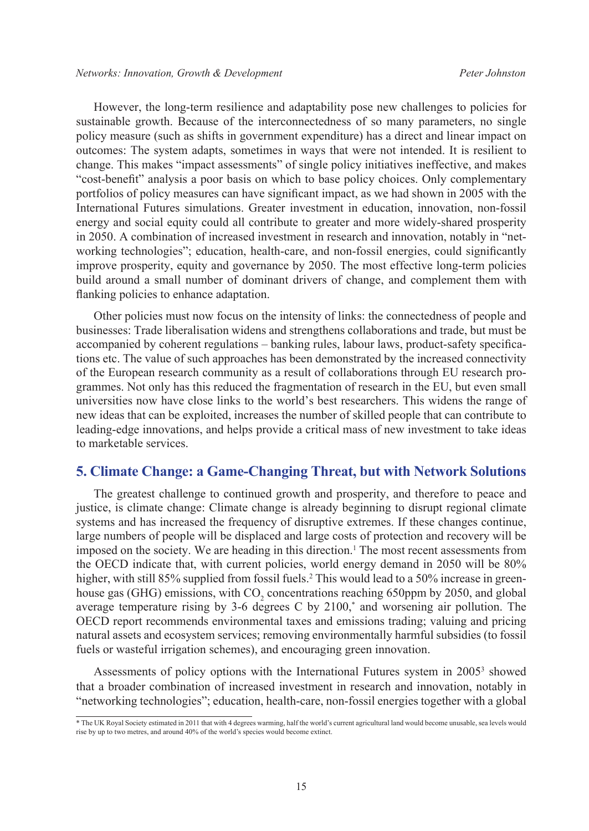However, the long-term resilience and adaptability pose new challenges to policies for sustainable growth. Because of the interconnectedness of so many parameters, no single policy measure (such as shifts in government expenditure) has a direct and linear impact on outcomes: The system adapts, sometimes in ways that were not intended. It is resilient to change. This makes "impact assessments" of single policy initiatives ineffective, and makes "cost-benefit" analysis a poor basis on which to base policy choices. Only complementary portfolios of policy measures can have significant impact, as we had shown in 2005 with the International Futures simulations. Greater investment in education, innovation, non-fossil energy and social equity could all contribute to greater and more widely-shared prosperity in 2050. A combination of increased investment in research and innovation, notably in "networking technologies"; education, health-care, and non-fossil energies, could significantly improve prosperity, equity and governance by 2050. The most effective long-term policies build around a small number of dominant drivers of change, and complement them with flanking policies to enhance adaptation.

Other policies must now focus on the intensity of links: the connectedness of people and businesses: Trade liberalisation widens and strengthens collaborations and trade, but must be accompanied by coherent regulations – banking rules, labour laws, product-safety specifications etc. The value of such approaches has been demonstrated by the increased connectivity of the European research community as a result of collaborations through EU research programmes. Not only has this reduced the fragmentation of research in the EU, but even small universities now have close links to the world's best researchers. This widens the range of new ideas that can be exploited, increases the number of skilled people that can contribute to leading-edge innovations, and helps provide a critical mass of new investment to take ideas to marketable services.

## **5. Climate Change: a Game-Changing Threat, but with Network Solutions**

The greatest challenge to continued growth and prosperity, and therefore to peace and justice, is climate change: Climate change is already beginning to disrupt regional climate systems and has increased the frequency of disruptive extremes. If these changes continue, large numbers of people will be displaced and large costs of protection and recovery will be imposed on the society. We are heading in this direction.<sup>[1](#page-5-0)</sup> The most recent assessments from the OECD indicate that, with current policies, world energy demand in 2050 will be 80% higher, with still 85% supplied from fossil fuels.<sup>2</sup> This would lead to a 50% increase in greenhouse gas (GHG) emissions, with  $CO_2$  concentrations reaching 650ppm by 2050, and global average temperature rising by 3-6 degrees C by 2100,\* and worsening air pollution. The OECD report recommends environmental taxes and emissions trading; valuing and pricing natural assets and ecosystem services; removing environmentally harmful subsidies (to fossil fuels or wasteful irrigation schemes), and encouraging green innovation.

Assessments of policy options with the International Futures system in 2005<sup>[3](#page-5-2)</sup> showed that a broader combination of increased investment in research and innovation, notably in "networking technologies"; education, health-care, non-fossil energies together with a global

<sup>\*</sup> The UK Royal Society estimated in 2011 that with 4 degrees warming, half the world's current agricultural land would become unusable, sea levels would rise by up to two metres, and around 40% of the world's species would become extinct.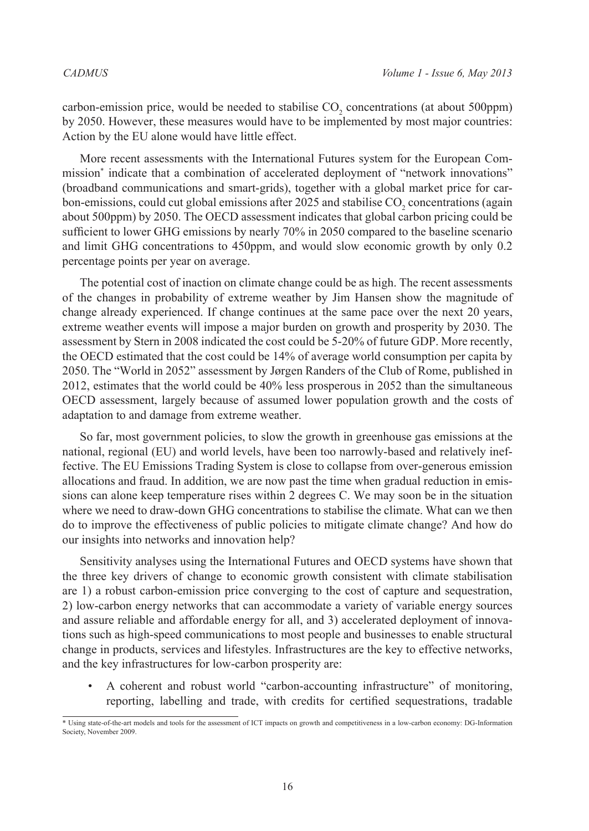carbon-emission price, would be needed to stabilise  $CO_2$  concentrations (at about 500ppm) by 2050. However, these measures would have to be implemented by most major countries: Action by the EU alone would have little effect.

More recent assessments with the International Futures system for the European Commission\* indicate that a combination of accelerated deployment of "network innovations" (broadband communications and smart-grids), together with a global market price for carbon-emissions, could cut global emissions after 2025 and stabilise  $CO<sub>2</sub>$  concentrations (again about 500ppm) by 2050. The OECD assessment indicates that global carbon pricing could be sufficient to lower GHG emissions by nearly 70% in 2050 compared to the baseline scenario and limit GHG concentrations to 450ppm, and would slow economic growth by only 0.2 percentage points per year on average.

The potential cost of inaction on climate change could be as high. The recent assessments of the changes in probability of extreme weather by Jim Hansen show the magnitude of change already experienced. If change continues at the same pace over the next 20 years, extreme weather events will impose a major burden on growth and prosperity by 2030. The assessment by Stern in 2008 indicated the cost could be 5-20% of future GDP. More recently, the OECD estimated that the cost could be 14% of average world consumption per capita by 2050. The "World in 2052" assessment by Jørgen Randers of the Club of Rome, published in 2012, estimates that the world could be 40% less prosperous in 2052 than the simultaneous OECD assessment, largely because of assumed lower population growth and the costs of adaptation to and damage from extreme weather.

So far, most government policies, to slow the growth in greenhouse gas emissions at the national, regional (EU) and world levels, have been too narrowly-based and relatively ineffective. The EU Emissions Trading System is close to collapse from over-generous emission allocations and fraud. In addition, we are now past the time when gradual reduction in emissions can alone keep temperature rises within 2 degrees C. We may soon be in the situation where we need to draw-down GHG concentrations to stabilise the climate. What can we then do to improve the effectiveness of public policies to mitigate climate change? And how do our insights into networks and innovation help?

Sensitivity analyses using the International Futures and OECD systems have shown that the three key drivers of change to economic growth consistent with climate stabilisation are 1) a robust carbon-emission price converging to the cost of capture and sequestration, 2) low-carbon energy networks that can accommodate a variety of variable energy sources and assure reliable and affordable energy for all, and 3) accelerated deployment of innovations such as high-speed communications to most people and businesses to enable structural change in products, services and lifestyles. Infrastructures are the key to effective networks, and the key infrastructures for low-carbon prosperity are:

• A coherent and robust world "carbon-accounting infrastructure" of monitoring, reporting, labelling and trade, with credits for certified sequestrations, tradable

 $\overline{\text{*}$  Using state-of-the-art models and tools for the assessment of ICT impacts on growth and competitiveness in a low-carbon economy: DG-Information Society, November 2009.